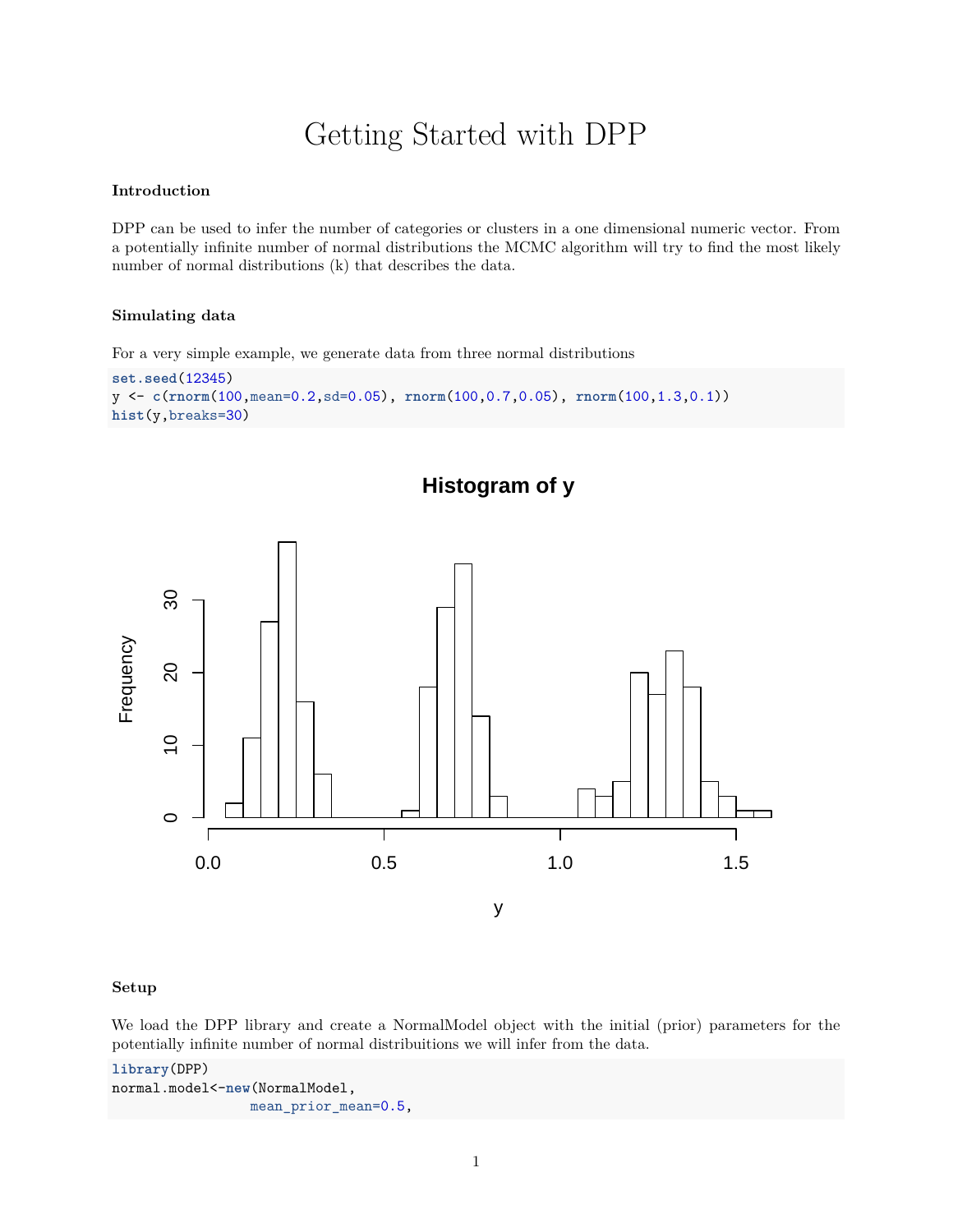# Getting Started with DPP

#### **Introduction**

DPP can be used to infer the number of categories or clusters in a one dimensional numeric vector. From a potentially infinite number of normal distributions the MCMC algorithm will try to find the most likely number of normal distributions (k) that describes the data.

**Histogram of y**

#### **Simulating data**

For a very simple example, we generate data from three normal distributions

```
set.seed(12345)
y <- c(rnorm(100,mean=0.2,sd=0.05), rnorm(100,0.7,0.05), rnorm(100,1.3,0.1))
hist(y,breaks=30)
```


#### **Setup**

We load the DPP library and create a NormalModel object with the initial (prior) parameters for the potentially infinite number of normal distribuitions we will infer from the data.

```
library(DPP)
normal.model<-new(NormalModel,
                 mean_prior_mean=0.5,
```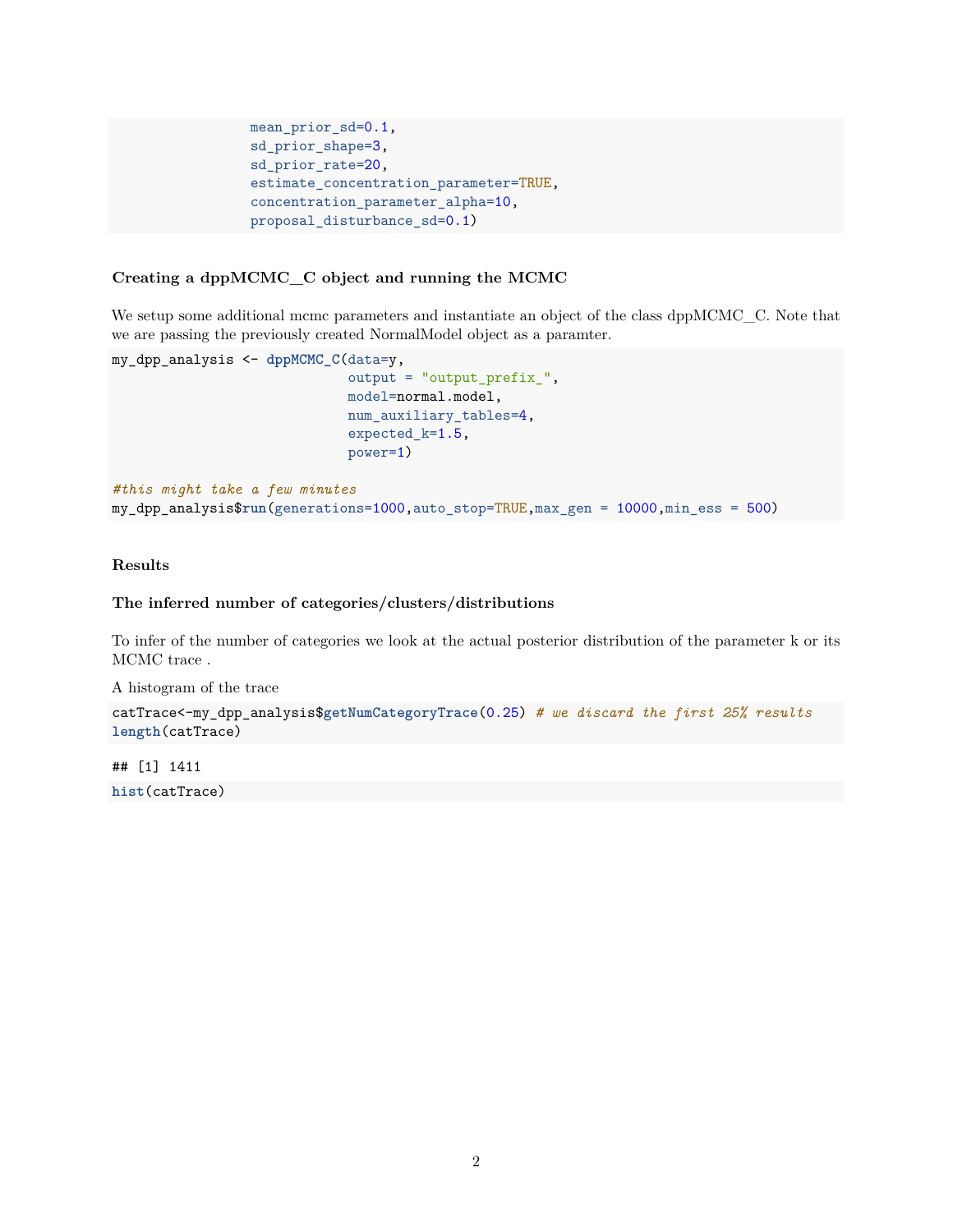```
mean_prior_sd=0.1,
sd_prior_shape=3,
sd prior rate=20,
estimate_concentration_parameter=TRUE,
concentration_parameter_alpha=10,
proposal_disturbance_sd=0.1)
```
#### **Creating a dppMCMC\_C object and running the MCMC**

We setup some additional mcmc parameters and instantiate an object of the class dppMCMC\_C. Note that we are passing the previously created NormalModel object as a paramter.

```
my_dpp_analysis <- dppMCMC_C(data=y,
                             output = "output_prefix_",
                             model=normal.model,
                             num_auxiliary_tables=4,
                             expected_k=1.5,
                             power=1)
#this might take a few minutes
my_dpp_analysis$run(generations=1000,auto_stop=TRUE,max_gen = 10000,min_ess = 500)
```
### **Results**

#### **The inferred number of categories/clusters/distributions**

To infer of the number of categories we look at the actual posterior distribution of the parameter k or its MCMC trace .

A histogram of the trace

```
catTrace<-my_dpp_analysis$getNumCategoryTrace(0.25) # we discard the first 25% results
length(catTrace)
```
## [1] 1411 **hist**(catTrace)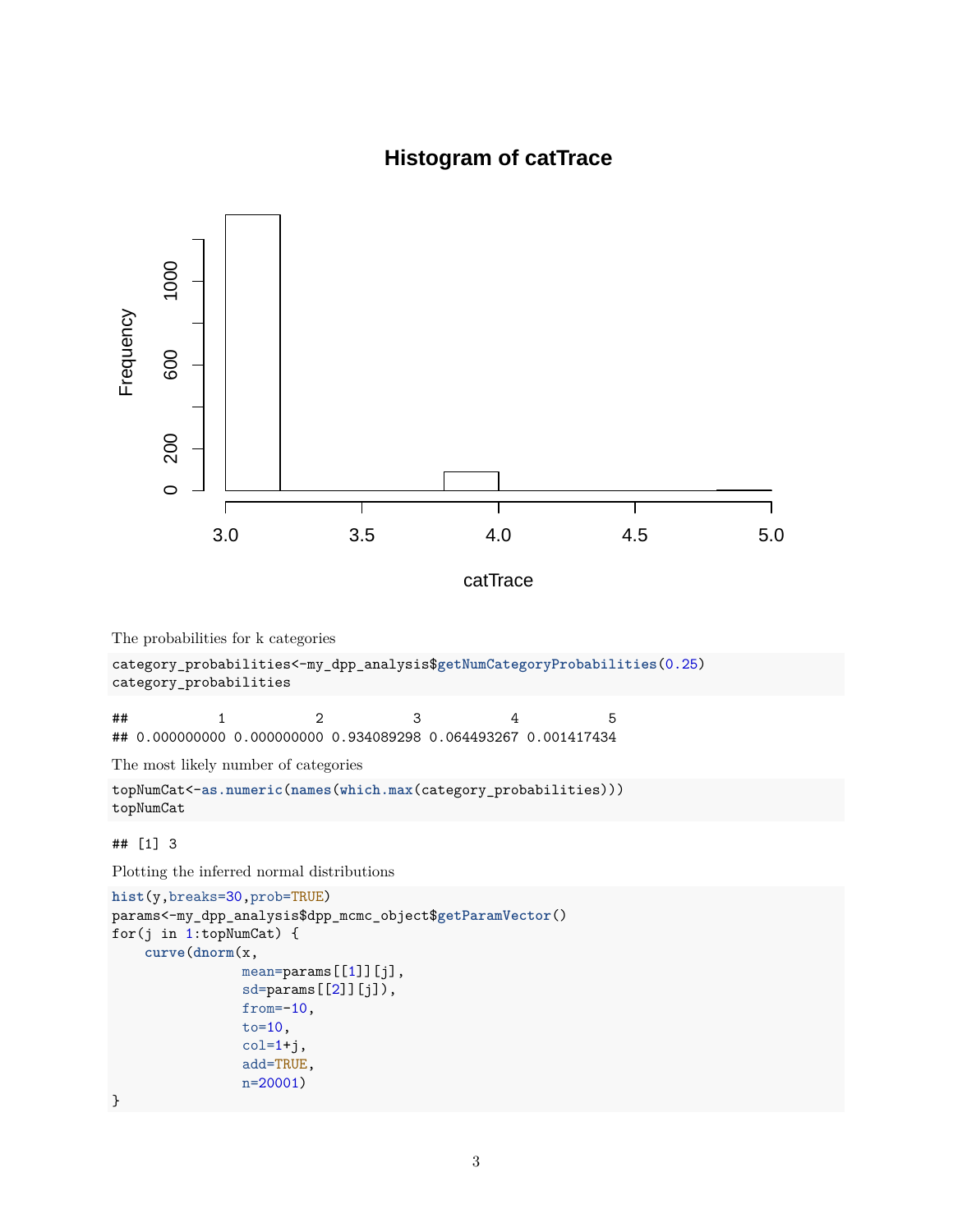## **Histogram of catTrace**



Plotting the inferred normal distributions

```
hist(y,breaks=30,prob=TRUE)
params<-my_dpp_analysis$dpp_mcmc_object$getParamVector()
for(j in 1:topNumCat) {
    curve(dnorm(x,
                mean=params[[1]][j],
                sd=params[[2]][j]),
                from =-10,
                to=10,
                col=1+j,add=TRUE,
                n=20001)
}
```